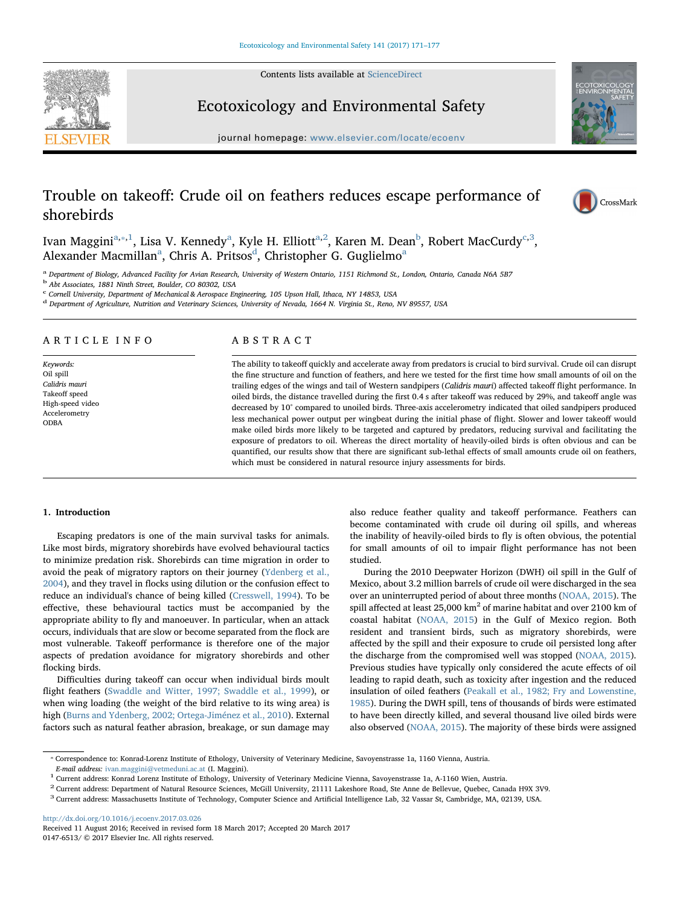Contents lists available at [ScienceDirect](http://www.sciencedirect.com/science/journal/01476513)



Ecotoxicology and Environmental Safety



# Trouble on takeoff: Crude oil on feathers reduces escape performance of shorebirds



Ivan Maggini<sup>[a,](#page-0-0)</sup>\*,<sup>1</sup>, Lis[a](#page-0-0) V. Kennedy<sup>a</sup>, Kyle H. Elliott<sup>a,[2](#page-0-3)</sup>, Karen M. Dean<sup>[b](#page-0-4)</sup>, Robert MacCurdy<sup>[c,](#page-0-5)[3](#page-0-6)</sup>, Alex[a](#page-0-0)n[d](#page-0-7)er Macmillan<sup>a</sup>, Chris A. Pritsos<sup>d</sup>, Christopher G. Guglielmo<sup>a</sup>

<span id="page-0-0"></span>a Department of Biology, Advanced Facility for Avian Research, University of Western Ontario, 1151 Richmond St., London, Ontario, Canada N6A 5B7

<span id="page-0-4"></span><sup>b</sup> Abt Associates, 1881 Ninth Street, Boulder, CO 80302, USA

<span id="page-0-5"></span><sup>c</sup> Cornell University, Department of Mechanical & Aerospace Engineering, 105 Upson Hall, Ithaca, NY 14853, USA

<span id="page-0-7"></span><sup>d</sup> Department of Agriculture, Nutrition and Veterinary Sciences, University of Nevada, 1664 N. Virginia St., Reno, NV 89557, USA

## ARTICLE INFO

Keywords: Oil spill Calidris mauri Takeoff speed High-speed video Accelerometry ODBA

## ABSTRACT

The ability to takeoff quickly and accelerate away from predators is crucial to bird survival. Crude oil can disrupt the fine structure and function of feathers, and here we tested for the first time how small amounts of oil on the trailing edges of the wings and tail of Western sandpipers (Calidris mauri) affected takeoff flight performance. In oiled birds, the distance travelled during the first 0.4 s after takeoff was reduced by 29%, and takeoff angle was decreased by 10° compared to unoiled birds. Three-axis accelerometry indicated that oiled sandpipers produced less mechanical power output per wingbeat during the initial phase of flight. Slower and lower takeoff would make oiled birds more likely to be targeted and captured by predators, reducing survival and facilitating the exposure of predators to oil. Whereas the direct mortality of heavily-oiled birds is often obvious and can be quantified, our results show that there are significant sub-lethal effects of small amounts crude oil on feathers, which must be considered in natural resource injury assessments for birds.

## 1. Introduction

Escaping predators is one of the main survival tasks for animals. Like most birds, migratory shorebirds have evolved behavioural tactics to minimize predation risk. Shorebirds can time migration in order to avoid the peak of migratory raptors on their journey [\(Ydenberg et al.,](#page-6-0) [2004\)](#page-6-0), and they travel in flocks using dilution or the confusion effect to reduce an individual's chance of being killed ([Cresswell, 1994](#page-5-0)). To be effective, these behavioural tactics must be accompanied by the appropriate ability to fly and manoeuver. In particular, when an attack occurs, individuals that are slow or become separated from the flock are most vulnerable. Takeoff performance is therefore one of the major aspects of predation avoidance for migratory shorebirds and other flocking birds.

Difficulties during takeoff can occur when individual birds moult flight feathers ([Swaddle and Witter, 1997; Swaddle et al., 1999](#page-6-1)), or when wing loading (the weight of the bird relative to its wing area) is high [\(Burns and Ydenberg, 2002; Ortega-Jiménez et al., 2010](#page-5-1)). External factors such as natural feather abrasion, breakage, or sun damage may

also reduce feather quality and takeoff performance. Feathers can become contaminated with crude oil during oil spills, and whereas the inability of heavily-oiled birds to fly is often obvious, the potential for small amounts of oil to impair flight performance has not been studied.

During the 2010 Deepwater Horizon (DWH) oil spill in the Gulf of Mexico, about 3.2 million barrels of crude oil were discharged in the sea over an uninterrupted period of about three months ([NOAA, 2015](#page-6-2)). The spill affected at least  $25,000 \text{ km}^2$  of marine habitat and over  $2100 \text{ km}$  of coastal habitat [\(NOAA, 2015](#page-6-2)) in the Gulf of Mexico region. Both resident and transient birds, such as migratory shorebirds, were affected by the spill and their exposure to crude oil persisted long after the discharge from the compromised well was stopped [\(NOAA, 2015](#page-6-2)). Previous studies have typically only considered the acute effects of oil leading to rapid death, such as toxicity after ingestion and the reduced insulation of oiled feathers [\(Peakall et al., 1982; Fry and Lowenstine,](#page-6-3) [1985\)](#page-6-3). During the DWH spill, tens of thousands of birds were estimated to have been directly killed, and several thousand live oiled birds were also observed [\(NOAA, 2015](#page-6-2)). The majority of these birds were assigned

<http://dx.doi.org/10.1016/j.ecoenv.2017.03.026> Received 11 August 2016; Received in revised form 18 March 2017; Accepted 20 March 2017 0147-6513/ © 2017 Elsevier Inc. All rights reserved.

<span id="page-0-1"></span><sup>⁎</sup> Correspondence to: Konrad-Lorenz Institute of Ethology, University of Veterinary Medicine, Savoyenstrasse 1a, 1160 Vienna, Austria. E-mail address: [ivan.maggini@vetmeduni.ac.at](mailto:ivan.maggini@vetmeduni.ac.at) (I. Maggini).

<span id="page-0-2"></span><sup>&</sup>lt;sup>1</sup> Current address: Konrad Lorenz Institute of Ethology, University of Veterinary Medicine Vienna, Savoyenstrasse 1a, A-1160 Wien, Austria.

<span id="page-0-3"></span><sup>2</sup> Current address: Department of Natural Resource Sciences, McGill University, 21111 Lakeshore Road, Ste Anne de Bellevue, Quebec, Canada H9X 3V9.

<span id="page-0-6"></span><sup>3</sup> Current address: Massachusetts Institute of Technology, Computer Science and Artificial Intelligence Lab, 32 Vassar St, Cambridge, MA, 02139, USA.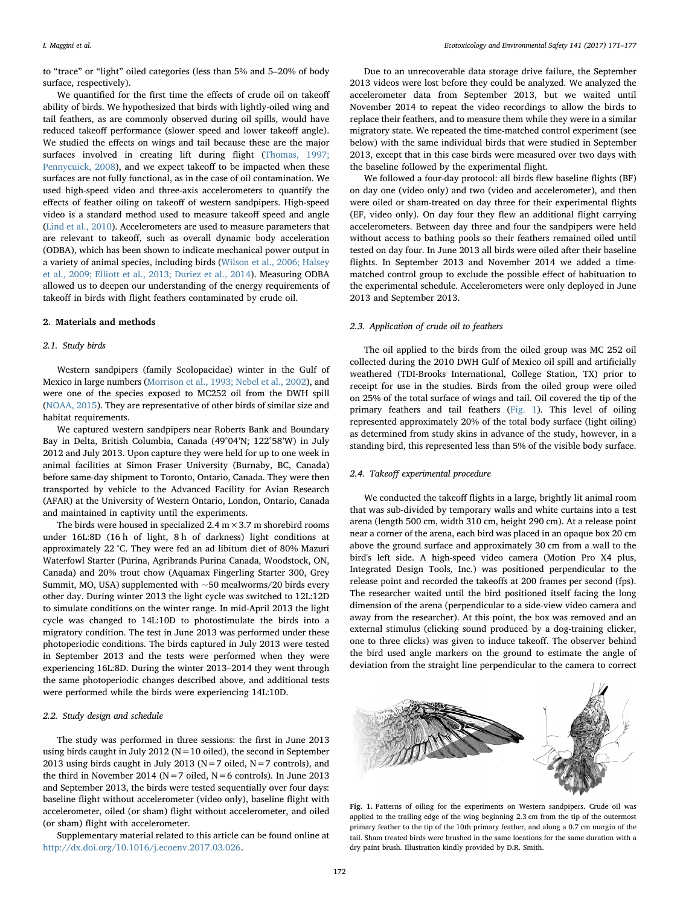to "trace" or "light" oiled categories (less than 5% and 5–20% of body surface, respectively).

We quantified for the first time the effects of crude oil on takeoff ability of birds. We hypothesized that birds with lightly-oiled wing and tail feathers, as are commonly observed during oil spills, would have reduced takeoff performance (slower speed and lower takeoff angle). We studied the effects on wings and tail because these are the major surfaces involved in creating lift during flight [\(Thomas, 1997;](#page-6-4) [Pennycuick, 2008](#page-6-4)), and we expect takeoff to be impacted when these surfaces are not fully functional, as in the case of oil contamination. We used high-speed video and three-axis accelerometers to quantify the effects of feather oiling on takeoff of western sandpipers. High-speed video is a standard method used to measure takeoff speed and angle ([Lind et al., 2010\)](#page-5-2). Accelerometers are used to measure parameters that are relevant to takeoff, such as overall dynamic body acceleration (ODBA), which has been shown to indicate mechanical power output in a variety of animal species, including birds [\(Wilson et al., 2006; Halsey](#page-6-5) [et al., 2009; Elliott et al., 2013; Duriez et al., 2014\)](#page-6-5). Measuring ODBA allowed us to deepen our understanding of the energy requirements of takeoff in birds with flight feathers contaminated by crude oil.

#### <span id="page-1-1"></span>2. Materials and methods

## 2.1. Study birds

Western sandpipers (family Scolopacidae) winter in the Gulf of Mexico in large numbers ([Morrison et al., 1993; Nebel et al., 2002](#page-5-3)), and were one of the species exposed to MC252 oil from the DWH spill ([NOAA, 2015\)](#page-6-2). They are representative of other birds of similar size and habitat requirements.

We captured western sandpipers near Roberts Bank and Boundary Bay in Delta, British Columbia, Canada (49°04'N; 122°58'W) in July 2012 and July 2013. Upon capture they were held for up to one week in animal facilities at Simon Fraser University (Burnaby, BC, Canada) before same-day shipment to Toronto, Ontario, Canada. They were then transported by vehicle to the Advanced Facility for Avian Research (AFAR) at the University of Western Ontario, London, Ontario, Canada and maintained in captivity until the experiments.

The birds were housed in specialized  $2.4 \text{ m} \times 3.7 \text{ m}$  shorebird rooms under 16L:8D (16 h of light, 8 h of darkness) light conditions at approximately 22 °C. They were fed an ad libitum diet of 80% Mazuri Waterfowl Starter (Purina, Agribrands Purina Canada, Woodstock, ON, Canada) and 20% trout chow (Aquamax Fingerling Starter 300, Grey Summit, MO, USA) supplemented with ~50 mealworms/20 birds every other day. During winter 2013 the light cycle was switched to 12L:12D to simulate conditions on the winter range. In mid-April 2013 the light cycle was changed to 14L:10D to photostimulate the birds into a migratory condition. The test in June 2013 was performed under these photoperiodic conditions. The birds captured in July 2013 were tested in September 2013 and the tests were performed when they were experiencing 16L:8D. During the winter 2013–2014 they went through the same photoperiodic changes described above, and additional tests were performed while the birds were experiencing 14L:10D.

## 2.2. Study design and schedule

The study was performed in three sessions: the first in June 2013 using birds caught in July 2012 ( $N=10$  oiled), the second in September 2013 using birds caught in July 2013 ( $N=7$  oiled,  $N=7$  controls), and the third in November 2014 ( $N=7$  oiled,  $N=6$  controls). In June 2013 and September 2013, the birds were tested sequentially over four days: baseline flight without accelerometer (video only), baseline flight with accelerometer, oiled (or sham) flight without accelerometer, and oiled (or sham) flight with accelerometer.

Supplementary material related to this article can be found online at <http://dx.doi.org/10.1016/j.ecoenv.2017.03.026>.

Due to an unrecoverable data storage drive failure, the September 2013 videos were lost before they could be analyzed. We analyzed the accelerometer data from September 2013, but we waited until November 2014 to repeat the video recordings to allow the birds to replace their feathers, and to measure them while they were in a similar migratory state. We repeated the time-matched control experiment (see below) with the same individual birds that were studied in September 2013, except that in this case birds were measured over two days with the baseline followed by the experimental flight.

We followed a four-day protocol: all birds flew baseline flights (BF) on day one (video only) and two (video and accelerometer), and then were oiled or sham-treated on day three for their experimental flights (EF, video only). On day four they flew an additional flight carrying accelerometers. Between day three and four the sandpipers were held without access to bathing pools so their feathers remained oiled until tested on day four. In June 2013 all birds were oiled after their baseline flights. In September 2013 and November 2014 we added a timematched control group to exclude the possible effect of habituation to the experimental schedule. Accelerometers were only deployed in June 2013 and September 2013.

#### 2.3. Application of crude oil to feathers

The oil applied to the birds from the oiled group was MC 252 oil collected during the 2010 DWH Gulf of Mexico oil spill and artificially weathered (TDI-Brooks International, College Station, TX) prior to receipt for use in the studies. Birds from the oiled group were oiled on 25% of the total surface of wings and tail. Oil covered the tip of the primary feathers and tail feathers [\(Fig. 1\)](#page-1-0). This level of oiling represented approximately 20% of the total body surface (light oiling) as determined from study skins in advance of the study, however, in a standing bird, this represented less than 5% of the visible body surface.

#### 2.4. Takeoff experimental procedure

We conducted the takeoff flights in a large, brightly lit animal room that was sub-divided by temporary walls and white curtains into a test arena (length 500 cm, width 310 cm, height 290 cm). At a release point near a corner of the arena, each bird was placed in an opaque box 20 cm above the ground surface and approximately 30 cm from a wall to the bird's left side. A high-speed video camera (Motion Pro X4 plus, Integrated Design Tools, Inc.) was positioned perpendicular to the release point and recorded the takeoffs at 200 frames per second (fps). The researcher waited until the bird positioned itself facing the long dimension of the arena (perpendicular to a side-view video camera and away from the researcher). At this point, the box was removed and an external stimulus (clicking sound produced by a dog-training clicker, one to three clicks) was given to induce takeoff. The observer behind the bird used angle markers on the ground to estimate the angle of deviation from the straight line perpendicular to the camera to correct

<span id="page-1-0"></span>

Fig. 1. Patterns of oiling for the experiments on Western sandpipers. Crude oil was applied to the trailing edge of the wing beginning 2.3 cm from the tip of the outermost primary feather to the tip of the 10th primary feather, and along a 0.7 cm margin of the tail. Sham treated birds were brushed in the same locations for the same duration with a dry paint brush. Illustration kindly provided by D.R. Smith.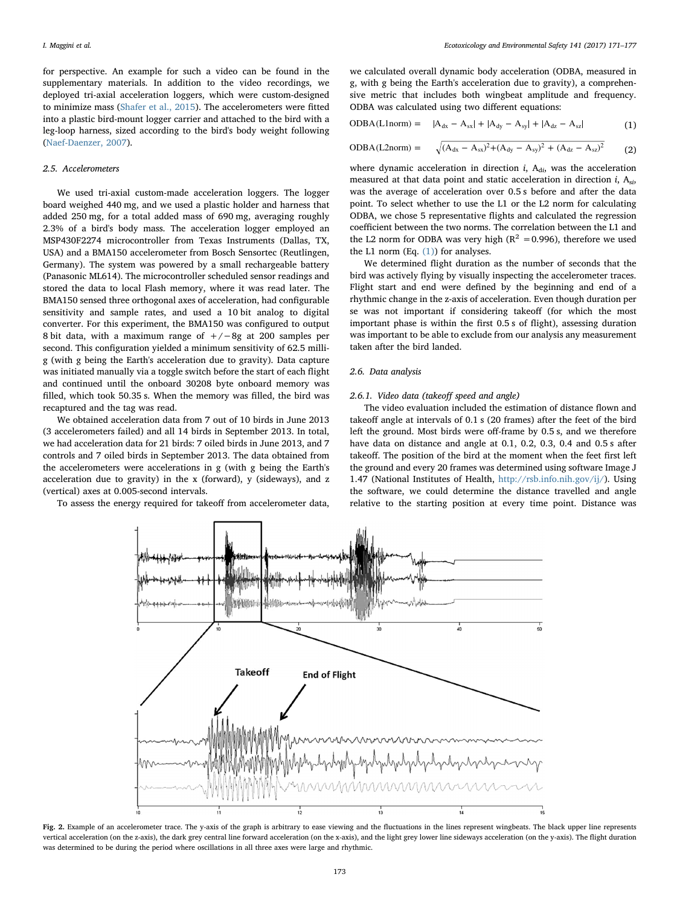for perspective. An example for such a video can be found in the supplementary materials. In addition to the video recordings, we deployed tri-axial acceleration loggers, which were custom-designed to minimize mass ([Shafer et al., 2015](#page-6-6)). The accelerometers were fitted into a plastic bird-mount logger carrier and attached to the bird with a leg-loop harness, sized according to the bird's body weight following ([Naef-Daenzer, 2007](#page-5-4)).

## 2.5. Accelerometers

We used tri-axial custom-made acceleration loggers. The logger board weighed 440 mg, and we used a plastic holder and harness that added 250 mg, for a total added mass of 690 mg, averaging roughly 2.3% of a bird's body mass. The acceleration logger employed an MSP430F2274 microcontroller from Texas Instruments (Dallas, TX, USA) and a BMA150 accelerometer from Bosch Sensortec (Reutlingen, Germany). The system was powered by a small rechargeable battery (Panasonic ML614). The microcontroller scheduled sensor readings and stored the data to local Flash memory, where it was read later. The BMA150 sensed three orthogonal axes of acceleration, had configurable sensitivity and sample rates, and used a 10 bit analog to digital converter. For this experiment, the BMA150 was configured to output 8 bit data, with a maximum range of +/−8g at 200 samples per second. This configuration yielded a minimum sensitivity of 62.5 millig (with g being the Earth's acceleration due to gravity). Data capture was initiated manually via a toggle switch before the start of each flight and continued until the onboard 30208 byte onboard memory was filled, which took 50.35 s. When the memory was filled, the bird was recaptured and the tag was read.

We obtained acceleration data from 7 out of 10 birds in June 2013 (3 accelerometers failed) and all 14 birds in September 2013. In total, we had acceleration data for 21 birds: 7 oiled birds in June 2013, and 7 controls and 7 oiled birds in September 2013. The data obtained from the accelerometers were accelerations in g (with g being the Earth's acceleration due to gravity) in the x (forward), y (sideways), and z (vertical) axes at 0.005-second intervals.

<span id="page-2-1"></span>To assess the energy required for takeoff from accelerometer data,

we calculated overall dynamic body acceleration (ODBA, measured in g, with g being the Earth's acceleration due to gravity), a comprehensive metric that includes both wingbeat amplitude and frequency. ODBA was calculated using two different equations:

<span id="page-2-0"></span>
$$
ODBA(L1norm) = |A_{dx} - A_{sx}| + |A_{dy} - A_{sy}| + |A_{dz} - A_{sz}|
$$
 (1)

ODBA(L2norm) = 
$$
\sqrt{(A_{dx} - A_{sx})^2 + (A_{dy} - A_{sy})^2 + (A_{dz} - A_{sz})^2}
$$
 (2)

where dynamic acceleration in direction  $i$ ,  $A_{di}$ , was the acceleration measured at that data point and static acceleration in direction  $i$ ,  $A_{sib}$ was the average of acceleration over 0.5 s before and after the data point. To select whether to use the L1 or the L2 norm for calculating ODBA, we chose 5 representative flights and calculated the regression coefficient between the two norms. The correlation between the L1 and the L2 norm for ODBA was very high ( $R^2 = 0.996$ ), therefore we used the L1 norm (Eq.  $(1)$ ) for analyses.

We determined flight duration as the number of seconds that the bird was actively flying by visually inspecting the accelerometer traces. Flight start and end were defined by the beginning and end of a rhythmic change in the z-axis of acceleration. Even though duration per se was not important if considering takeoff (for which the most important phase is within the first 0.5 s of flight), assessing duration was important to be able to exclude from our analysis any measurement taken after the bird landed.

## 2.6. Data analysis

## 2.6.1. Video data (takeoff speed and angle)

The video evaluation included the estimation of distance flown and takeoff angle at intervals of 0.1 s (20 frames) after the feet of the bird left the ground. Most birds were off-frame by 0.5 s, and we therefore have data on distance and angle at 0.1, 0.2, 0.3, 0.4 and 0.5 s after takeoff. The position of the bird at the moment when the feet first left the ground and every 20 frames was determined using software Image J 1.47 (National Institutes of Health, <http://rsb.info.nih.gov/ij/>). Using the software, we could determine the distance travelled and angle relative to the starting position at every time point. Distance was



Fig. 2. Example of an accelerometer trace. The y-axis of the graph is arbitrary to ease viewing and the fluctuations in the lines represent wingbeats. The black upper line represents vertical acceleration (on the z-axis), the dark grey central line forward acceleration (on the x-axis), and the light grey lower line sideways acceleration (on the y-axis). The flight duration was determined to be during the period where oscillations in all three axes were large and rhythmic.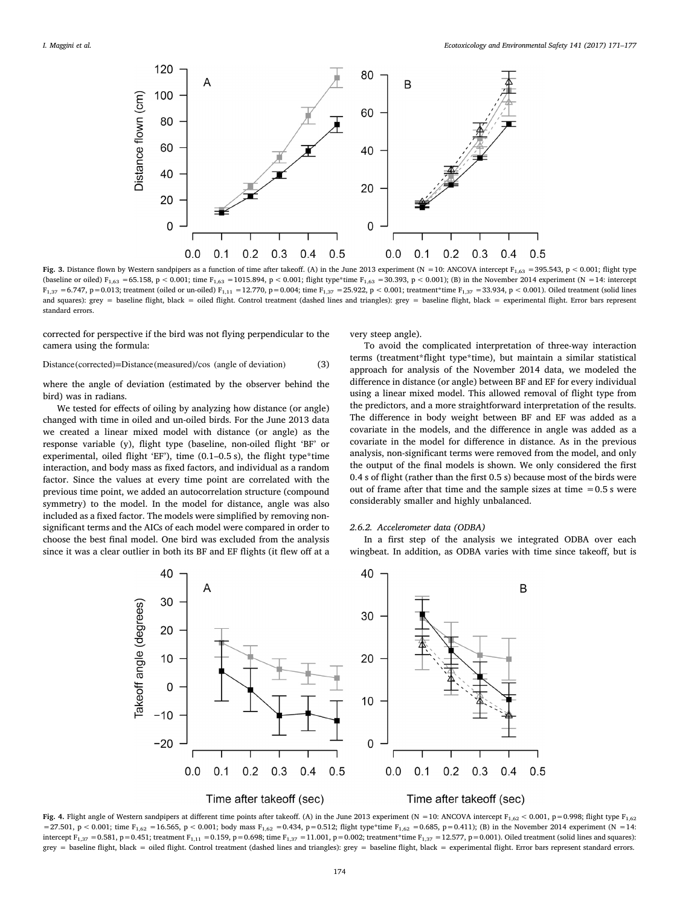<span id="page-3-0"></span>

Fig. 3. Distance flown by Western sandpipers as a function of time after takeoff. (A) in the June 2013 experiment (N = 10: ANCOVA intercept  $F_{1,63}$  = 395.543, p < 0.001; flight type (baseline or oiled) F<sub>1,63</sub> =65.158, p < 0.001; time F<sub>1,63</sub> =1015.894, p < 0.001; flight type\*time F<sub>1,63</sub> =30.393, p < 0.001); (B) in the November 2014 experiment (N = 14: intercept  $F_{1,37} = 6.747$ , p=0.013; treatment (oiled or un-oiled)  $F_{1,11} = 12.770$ , p=0.004; time  $F_{1,37} = 25.922$ , p < 0.001; treatment\*time  $F_{1,37} = 33.934$ , p < 0.001). Oiled treatment (solid lines and squares): grey = baseline flight, black = oiled flight. Control treatment (dashed lines and triangles): grey = baseline flight, black = experimental flight. Error bars represent standard errors.

corrected for perspective if the bird was not flying perpendicular to the camera using the formula:

Distance(corrected)=Distance(measured)/cos (angle of deviation) (3)

where the angle of deviation (estimated by the observer behind the bird) was in radians.

We tested for effects of oiling by analyzing how distance (or angle) changed with time in oiled and un-oiled birds. For the June 2013 data we created a linear mixed model with distance (or angle) as the response variable (y), flight type (baseline, non-oiled flight 'BF' or experimental, oiled flight 'EF'), time  $(0.1-0.5 s)$ , the flight type\*time interaction, and body mass as fixed factors, and individual as a random factor. Since the values at every time point are correlated with the previous time point, we added an autocorrelation structure (compound symmetry) to the model. In the model for distance, angle was also included as a fixed factor. The models were simplified by removing nonsignificant terms and the AICs of each model were compared in order to choose the best final model. One bird was excluded from the analysis since it was a clear outlier in both its BF and EF flights (it flew off at a

very steep angle).

To avoid the complicated interpretation of three-way interaction terms (treatment\*flight type\*time), but maintain a similar statistical approach for analysis of the November 2014 data, we modeled the difference in distance (or angle) between BF and EF for every individual using a linear mixed model. This allowed removal of flight type from the predictors, and a more straightforward interpretation of the results. The difference in body weight between BF and EF was added as a covariate in the models, and the difference in angle was added as a covariate in the model for difference in distance. As in the previous analysis, non-significant terms were removed from the model, and only the output of the final models is shown. We only considered the first 0.4 s of flight (rather than the first 0.5 s) because most of the birds were out of frame after that time and the sample sizes at time  $=0.5$  s were considerably smaller and highly unbalanced.

#### 2.6.2. Accelerometer data (ODBA)

In a first step of the analysis we integrated ODBA over each wingbeat. In addition, as ODBA varies with time since takeoff, but is

<span id="page-3-1"></span>

Fig. 4. Flight angle of Western sandpipers at different time points after takeoff. (A) in the June 2013 experiment (N = 10: ANCOVA intercept  $F_{1,62}$  < 0.001, p = 0.998; flight type  $F_{1,62}$ =27.501, p < 0.001; time F<sub>1,62</sub> =16.565, p < 0.001; body mass F<sub>1,62</sub> =0.434, p=0.512; flight type\*time F<sub>1,62</sub> =0.685, p=0.411); (B) in the November 2014 experiment (N =14: intercept F<sub>1,37</sub> = 0.581, p=0.451; treatment F<sub>1,11</sub> = 0.159, p=0.698; time F<sub>1,37</sub> = 11,001, p=0.002; treatment\*time F<sub>1,37</sub> = 12,577, p=0.001). Oiled treatment (solid lines and squares): grey = baseline flight, black = oiled flight. Control treatment (dashed lines and triangles): grey = baseline flight, black = experimental flight. Error bars represent standard errors.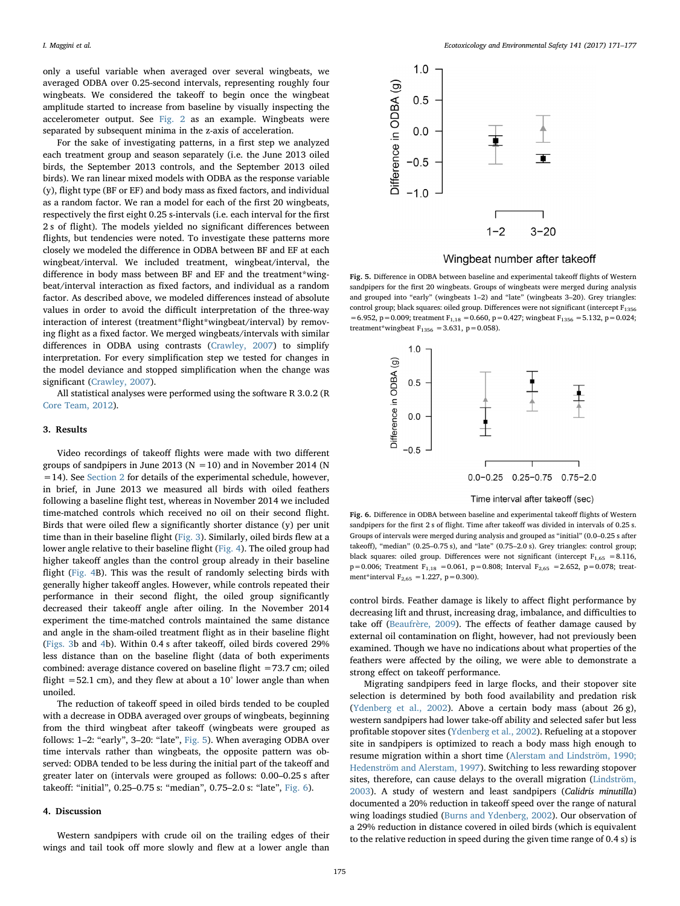only a useful variable when averaged over several wingbeats, we averaged ODBA over 0.25-second intervals, representing roughly four wingbeats. We considered the takeoff to begin once the wingbeat amplitude started to increase from baseline by visually inspecting the accelerometer output. See [Fig. 2](#page-2-1) as an example. Wingbeats were separated by subsequent minima in the z-axis of acceleration.

For the sake of investigating patterns, in a first step we analyzed each treatment group and season separately (i.e. the June 2013 oiled birds, the September 2013 controls, and the September 2013 oiled birds). We ran linear mixed models with ODBA as the response variable (y), flight type (BF or EF) and body mass as fixed factors, and individual as a random factor. We ran a model for each of the first 20 wingbeats, respectively the first eight 0.25 s-intervals (i.e. each interval for the first 2 s of flight). The models yielded no significant differences between flights, but tendencies were noted. To investigate these patterns more closely we modeled the difference in ODBA between BF and EF at each wingbeat/interval. We included treatment, wingbeat/interval, the difference in body mass between BF and EF and the treatment\*wingbeat/interval interaction as fixed factors, and individual as a random factor. As described above, we modeled differences instead of absolute values in order to avoid the difficult interpretation of the three-way interaction of interest (treatment\*flight\*wingbeat/interval) by removing flight as a fixed factor. We merged wingbeats/intervals with similar differences in ODBA using contrasts ([Crawley, 2007](#page-5-5)) to simplify interpretation. For every simplification step we tested for changes in the model deviance and stopped simplification when the change was significant ([Crawley, 2007\)](#page-5-5).

All statistical analyses were performed using the software R 3.0.2 (R [Core Team, 2012\)](#page-6-7).

#### 3. Results

Video recordings of takeoff flights were made with two different groups of sandpipers in June 2013 ( $N = 10$ ) and in November 2014 (N =14). See [Section 2](#page-1-1) for details of the experimental schedule, however, in brief, in June 2013 we measured all birds with oiled feathers following a baseline flight test, whereas in November 2014 we included time-matched controls which received no oil on their second flight. Birds that were oiled flew a significantly shorter distance (y) per unit time than in their baseline flight [\(Fig. 3\)](#page-3-0). Similarly, oiled birds flew at a lower angle relative to their baseline flight [\(Fig. 4](#page-3-1)). The oiled group had higher takeoff angles than the control group already in their baseline flight ([Fig. 4B](#page-3-1)). This was the result of randomly selecting birds with generally higher takeoff angles. However, while controls repeated their performance in their second flight, the oiled group significantly decreased their takeoff angle after oiling. In the November 2014 experiment the time-matched controls maintained the same distance and angle in the sham-oiled treatment flight as in their baseline flight ([Figs. 3](#page-3-0)b and [4b](#page-3-1)). Within 0.4 s after takeoff, oiled birds covered 29% less distance than on the baseline flight (data of both experiments combined: average distance covered on baseline flight =73.7 cm; oiled flight =52.1 cm), and they flew at about a  $10^{\circ}$  lower angle than when unoiled.

The reduction of takeoff speed in oiled birds tended to be coupled with a decrease in ODBA averaged over groups of wingbeats, beginning from the third wingbeat after takeoff (wingbeats were grouped as follows: 1–2: "early", 3–20: "late", [Fig. 5\)](#page-4-0). When averaging ODBA over time intervals rather than wingbeats, the opposite pattern was observed: ODBA tended to be less during the initial part of the takeoff and greater later on (intervals were grouped as follows: 0.00–0.25 s after takeoff: "initial", 0.25–0.75 s: "median", 0.75–2.0 s: "late", [Fig.](#page-4-1) 6).

#### 4. Discussion

Western sandpipers with crude oil on the trailing edges of their wings and tail took off more slowly and flew at a lower angle than

<span id="page-4-0"></span>

## Wingbeat number after takeoff

Fig. 5. Difference in ODBA between baseline and experimental takeoff flights of Western sandpipers for the first 20 wingbeats. Groups of wingbeats were merged during analysis and grouped into "early" (wingbeats 1–2) and "late" (wingbeats 3–20). Grey triangles: control group; black squares: oiled group. Differences were not significant (intercept  $F_{1356}$ = 6.952, p = 0.009; treatment  $F_{1,18}$  = 0.660, p = 0.427; wingbeat  $F_{1356}$  = 5.132, p = 0.024; treatment\*wingbeat  $F_{1356} = 3.631$ , p=0.058).

<span id="page-4-1"></span>

Fig. 6. Difference in ODBA between baseline and experimental takeoff flights of Western sandpipers for the first 2 s of flight. Time after takeoff was divided in intervals of 0.25 s. Groups of intervals were merged during analysis and grouped as "initial" (0.0–0.25 s after takeoff), "median" (0.25–0.75 s), and "late" (0.75–2.0 s). Grey triangles: control group; black squares: oiled group. Differences were not significant (intercept  $F_{1,65} = 8.116$ ,  $p=0.006$ ; Treatment  $F_{1,18} = 0.061$ ,  $p=0.808$ ; Interval  $F_{2,65} = 2.652$ ,  $p=0.078$ ; treat-

control birds. Feather damage is likely to affect flight performance by decreasing lift and thrust, increasing drag, imbalance, and difficulties to take off [\(Beaufrère, 2009](#page-5-6)). The effects of feather damage caused by external oil contamination on flight, however, had not previously been examined. Though we have no indications about what properties of the feathers were affected by the oiling, we were able to demonstrate a strong effect on takeoff performance.

ment\*interval  $F_{2,65} = 1.227$ , p=0.300).

Migrating sandpipers feed in large flocks, and their stopover site selection is determined by both food availability and predation risk ([Ydenberg et al., 2002](#page-6-8)). Above a certain body mass (about 26 g), western sandpipers had lower take-off ability and selected safer but less profitable stopover sites [\(Ydenberg et al., 2002](#page-6-8)). Refueling at a stopover site in sandpipers is optimized to reach a body mass high enough to resume migration within a short time ([Alerstam and Lindström, 1990;](#page-5-7) [Hedenström and Alerstam, 1997\)](#page-5-7). Switching to less rewarding stopover sites, therefore, can cause delays to the overall migration ([Lindström,](#page-5-8) [2003\)](#page-5-8). A study of western and least sandpipers (Calidris minutilla) documented a 20% reduction in takeoff speed over the range of natural wing loadings studied [\(Burns and Ydenberg, 2002\)](#page-5-1). Our observation of a 29% reduction in distance covered in oiled birds (which is equivalent to the relative reduction in speed during the given time range of 0.4 s) is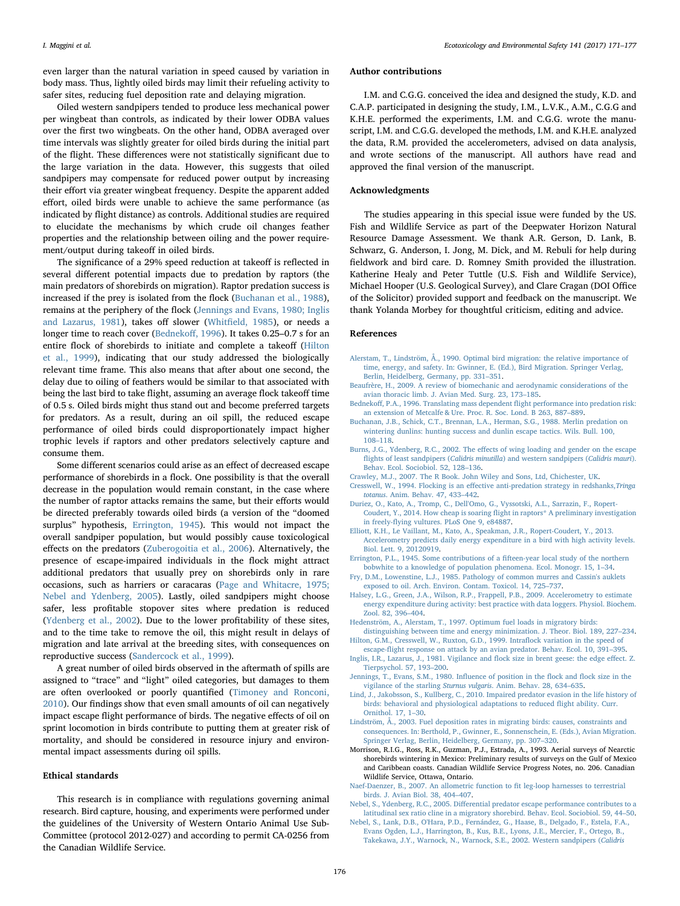even larger than the natural variation in speed caused by variation in body mass. Thus, lightly oiled birds may limit their refueling activity to safer sites, reducing fuel deposition rate and delaying migration.

Oiled western sandpipers tended to produce less mechanical power per wingbeat than controls, as indicated by their lower ODBA values over the first two wingbeats. On the other hand, ODBA averaged over time intervals was slightly greater for oiled birds during the initial part of the flight. These differences were not statistically significant due to the large variation in the data. However, this suggests that oiled sandpipers may compensate for reduced power output by increasing their effort via greater wingbeat frequency. Despite the apparent added effort, oiled birds were unable to achieve the same performance (as indicated by flight distance) as controls. Additional studies are required to elucidate the mechanisms by which crude oil changes feather properties and the relationship between oiling and the power requirement/output during takeoff in oiled birds.

The significance of a 29% speed reduction at takeoff is reflected in several different potential impacts due to predation by raptors (the main predators of shorebirds on migration). Raptor predation success is increased if the prey is isolated from the flock ([Buchanan et al., 1988](#page-5-9)), remains at the periphery of the flock ([Jennings and Evans, 1980; Inglis](#page-5-10) [and Lazarus, 1981](#page-5-10)), takes off slower (Whitfi[eld, 1985](#page-6-9)), or needs a longer time to reach cover ([Bedneko](#page-5-11)ff, 1996). It takes 0.25–0.7 s for an entire flock of shorebirds to initiate and complete a takeoff [\(Hilton](#page-5-12) [et al., 1999](#page-5-12)), indicating that our study addressed the biologically relevant time frame. This also means that after about one second, the delay due to oiling of feathers would be similar to that associated with being the last bird to take flight, assuming an average flock takeoff time of 0.5 s. Oiled birds might thus stand out and become preferred targets for predators. As a result, during an oil spill, the reduced escape performance of oiled birds could disproportionately impact higher trophic levels if raptors and other predators selectively capture and consume them.

Some different scenarios could arise as an effect of decreased escape performance of shorebirds in a flock. One possibility is that the overall decrease in the population would remain constant, in the case where the number of raptor attacks remains the same, but their efforts would be directed preferably towards oiled birds (a version of the "doomed surplus" hypothesis, [Errington,](#page-5-13) 1945). This would not impact the overall sandpiper population, but would possibly cause toxicological effects on the predators ([Zuberogoitia et al., 2006](#page-6-10)). Alternatively, the presence of escape-impaired individuals in the flock might attract additional predators that usually prey on shorebirds only in rare occasions, such as harriers or caracaras [\(Page and Whitacre, 1975;](#page-6-11) [Nebel and Ydenberg, 2005](#page-6-11)). Lastly, oiled sandpipers might choose safer, less profitable stopover sites where predation is reduced ([Ydenberg et al., 2002\)](#page-6-8). Due to the lower profitability of these sites, and to the time take to remove the oil, this might result in delays of migration and late arrival at the breeding sites, with consequences on reproductive success [\(Sandercock et al., 1999\)](#page-6-12).

A great number of oiled birds observed in the aftermath of spills are assigned to "trace" and "light" oiled categories, but damages to them are often overlooked or poorly quantified ([Timoney and Ronconi,](#page-6-13) [2010\)](#page-6-13). Our findings show that even small amounts of oil can negatively impact escape flight performance of birds. The negative effects of oil on sprint locomotion in birds contribute to putting them at greater risk of mortality, and should be considered in resource injury and environmental impact assessments during oil spills.

## Ethical standards

This research is in compliance with regulations governing animal research. Bird capture, housing, and experiments were performed under the guidelines of the University of Western Ontario Animal Use Sub-Committee (protocol 2012-027) and according to permit CA-0256 from the Canadian Wildlife Service.

#### Author contributions

I.M. and C.G.G. conceived the idea and designed the study, K.D. and C.A.P. participated in designing the study, I.M., L.V.K., A.M., C.G.G and K.H.E. performed the experiments, I.M. and C.G.G. wrote the manuscript, I.M. and C.G.G. developed the methods, I.M. and K.H.E. analyzed the data, R.M. provided the accelerometers, advised on data analysis, and wrote sections of the manuscript. All authors have read and approved the final version of the manuscript.

## Acknowledgments

The studies appearing in this special issue were funded by the US. Fish and Wildlife Service as part of the Deepwater Horizon Natural Resource Damage Assessment. We thank A.R. Gerson, D. Lank, B. Schwarz, G. Anderson, I. Jong, M. Dick, and M. Rebuli for help during fieldwork and bird care. D. Romney Smith provided the illustration. Katherine Healy and Peter Tuttle (U.S. Fish and Wildlife Service), Michael Hooper (U.S. Geological Survey), and Clare Cragan (DOI Office of the Solicitor) provided support and feedback on the manuscript. We thank Yolanda Morbey for thoughtful criticism, editing and advice.

#### References

- <span id="page-5-7"></span>[Alerstam, T., Lindström, Å., 1990. Optimal bird migration: the relative importance of](http://refhub.elsevier.com/S0147-6513(17)30170-7/sbref1) [time, energy, and safety. In: Gwinner, E. \(Ed.\), Bird Migration. Springer Verlag,](http://refhub.elsevier.com/S0147-6513(17)30170-7/sbref1) [Berlin, Heidelberg, Germany, pp. 331](http://refhub.elsevier.com/S0147-6513(17)30170-7/sbref1)–351.
- <span id="page-5-6"></span>[Beaufrère, H., 2009. A review of biomechanic and aerodynamic considerations of the](http://refhub.elsevier.com/S0147-6513(17)30170-7/sbref2) [avian thoracic limb. J. Avian Med. Surg. 23, 173](http://refhub.elsevier.com/S0147-6513(17)30170-7/sbref2)–185.
- <span id="page-5-11"></span>Bednekoff[, P.A., 1996. Translating mass dependent](http://refhub.elsevier.com/S0147-6513(17)30170-7/sbref3) flight performance into predation risk: [an extension of Metcalfe & Ure. Proc. R. Soc. Lond. B 263, 887](http://refhub.elsevier.com/S0147-6513(17)30170-7/sbref3)–889.
- <span id="page-5-9"></span>[Buchanan, J.B., Schick, C.T., Brennan, L.A., Herman, S.G., 1988. Merlin predation on](http://refhub.elsevier.com/S0147-6513(17)30170-7/sbref4) [wintering dunlins: hunting success and dunlin escape tactics. Wils. Bull. 100,](http://refhub.elsevier.com/S0147-6513(17)30170-7/sbref4) 108–[118](http://refhub.elsevier.com/S0147-6513(17)30170-7/sbref4).
- <span id="page-5-1"></span>Burns, J.G., Ydenberg, R.C., 2002. The eff[ects of wing loading and gender on the escape](http://refhub.elsevier.com/S0147-6513(17)30170-7/sbref5) flights of least sandpipers (Calidris minutilla[\) and western sandpipers \(](http://refhub.elsevier.com/S0147-6513(17)30170-7/sbref5)Calidris mauri). [Behav. Ecol. Sociobiol. 52, 128](http://refhub.elsevier.com/S0147-6513(17)30170-7/sbref5)–136.
- <span id="page-5-5"></span>[Crawley, M.J., 2007. The R Book. John Wiley and Sons, Ltd, Chichester, UK](http://refhub.elsevier.com/S0147-6513(17)30170-7/sbref6).
- <span id="page-5-0"></span>Cresswell, W., 1994. Flocking is an eff[ective anti-predation strategy in redshanks,](http://refhub.elsevier.com/S0147-6513(17)30170-7/sbref7)Tringa totanus[. Anim. Behav. 47, 433](http://refhub.elsevier.com/S0147-6513(17)30170-7/sbref7)–442.
- [Duriez, O., Kato, A., Tromp, C., Dell'Omo, G., Vyssotski, A.L., Sarrazin, F., Ropert-](http://refhub.elsevier.com/S0147-6513(17)30170-7/sbref8)Coudert, Y., 2014. How cheap is soaring fl[ight in raptors\\* A preliminary investigation](http://refhub.elsevier.com/S0147-6513(17)30170-7/sbref8) in freely-fl[ying vultures. PLoS One 9, e84887.](http://refhub.elsevier.com/S0147-6513(17)30170-7/sbref8)
- [Elliott, K.H., Le Vaillant, M., Kato, A., Speakman, J.R., Ropert-Coudert, Y., 2013.](http://refhub.elsevier.com/S0147-6513(17)30170-7/sbref9) [Accelerometry predicts daily energy expenditure in a bird with high activity levels.](http://refhub.elsevier.com/S0147-6513(17)30170-7/sbref9) [Biol. Lett. 9, 20120919.](http://refhub.elsevier.com/S0147-6513(17)30170-7/sbref9)
- <span id="page-5-13"></span>[Errington, P.L., 1945. Some contributions of a](http://refhub.elsevier.com/S0147-6513(17)30170-7/sbref10) fifteen-year local study of the northern [bobwhite to a knowledge of population phenomena. Ecol. Monogr. 15, 1](http://refhub.elsevier.com/S0147-6513(17)30170-7/sbref10)–34.
	- [Fry, D.M., Lowenstine, L.J., 1985. Pathology of common murres and Cassin's auklets](http://refhub.elsevier.com/S0147-6513(17)30170-7/sbref11) [exposed to oil. Arch. Environ. Contam. Toxicol. 14, 725](http://refhub.elsevier.com/S0147-6513(17)30170-7/sbref11)–737.
	- [Halsey, L.G., Green, J.A., Wilson, R.P., Frappell, P.B., 2009. Accelerometry to estimate](http://refhub.elsevier.com/S0147-6513(17)30170-7/sbref12) [energy expenditure during activity: best practice with data loggers. Physiol. Biochem.](http://refhub.elsevier.com/S0147-6513(17)30170-7/sbref12) [Zool. 82, 396](http://refhub.elsevier.com/S0147-6513(17)30170-7/sbref12)–404.
	- [Hedenström, A., Alerstam, T., 1997. Optimum fuel loads in migratory birds:](http://refhub.elsevier.com/S0147-6513(17)30170-7/sbref13) [distinguishing between time and energy minimization. J. Theor. Biol. 189, 227](http://refhub.elsevier.com/S0147-6513(17)30170-7/sbref13)–234.
- <span id="page-5-12"></span>[Hilton, G.M., Cresswell, W., Ruxton, G.D., 1999. Intra](http://refhub.elsevier.com/S0147-6513(17)30170-7/sbref14)flock variation in the speed of escape-fl[ight response on attack by an avian predator. Behav. Ecol. 10, 391](http://refhub.elsevier.com/S0147-6513(17)30170-7/sbref14)–395.
- [Inglis, I.R., Lazarus, J., 1981. Vigilance and](http://refhub.elsevier.com/S0147-6513(17)30170-7/sbref15) flock size in brent geese: the edge effect. Z. [Tierpsychol. 57, 193](http://refhub.elsevier.com/S0147-6513(17)30170-7/sbref15)–200.
- <span id="page-5-10"></span>Jennings, [T., Evans, S.M., 1980. In](http://refhub.elsevier.com/S0147-6513(17)30170-7/sbref16)fluence of position in the flock and flock size in the [vigilance of the starling](http://refhub.elsevier.com/S0147-6513(17)30170-7/sbref16) Sturnus vulgaris. Anim. Behav. 28, 634–635.
- <span id="page-5-2"></span>[Lind, J., Jakobsson, S., Kullberg, C., 2010. Impaired predator evasion in the life history of](http://refhub.elsevier.com/S0147-6513(17)30170-7/sbref17) [birds: behavioral and physiological adaptations to reduced](http://refhub.elsevier.com/S0147-6513(17)30170-7/sbref17) flight ability. Curr. [Ornithol. 17, 1](http://refhub.elsevier.com/S0147-6513(17)30170-7/sbref17)–30.
- <span id="page-5-8"></span>[Lindström, Å., 2003. Fuel deposition rates in migrating birds: causes, constraints and](http://refhub.elsevier.com/S0147-6513(17)30170-7/sbref18) [consequences. In: Berthold, P., Gwinner, E., Sonnenschein, E. \(Eds.\), Avian Migration.](http://refhub.elsevier.com/S0147-6513(17)30170-7/sbref18) [Springer Verlag, Berlin, Heidelberg, Germany, pp. 307](http://refhub.elsevier.com/S0147-6513(17)30170-7/sbref18)–320.
- <span id="page-5-3"></span>Morrison, R.I.G., Ross, R.K., Guzman, P.J., Estrada, A., 1993. Aerial surveys of Nearctic shorebirds wintering in Mexico: Preliminary results of surveys on the Gulf of Mexico and Caribbean coasts. Canadian Wildlife Service Progress Notes, no. 206. Canadian Wildlife Service, Ottawa, Ontario.
- <span id="page-5-4"></span>[Naef-Daenzer, B., 2007. An allometric function to](http://refhub.elsevier.com/S0147-6513(17)30170-7/sbref19) fit leg-loop harnesses to terrestrial [birds. J. Avian Biol. 38, 404](http://refhub.elsevier.com/S0147-6513(17)30170-7/sbref19)–407.
- Nebel, S., Ydenberg, R.C., 2005. Diff[erential predator escape performance contributes to a](http://refhub.elsevier.com/S0147-6513(17)30170-7/sbref20) [latitudinal sex ratio cline in a migratory shorebird. Behav. Ecol. Sociobiol. 59, 44](http://refhub.elsevier.com/S0147-6513(17)30170-7/sbref20)–50.
- [Nebel, S., Lank, D.B., O'Hara, P.D., Fernández, G., Haase, B., Delgado, F., Estela, F.A.,](http://refhub.elsevier.com/S0147-6513(17)30170-7/sbref21) [Evans Ogden, L.J., Harrington, B., Kus, B.E., Lyons, J.E., Mercier, F., Ortego, B.,](http://refhub.elsevier.com/S0147-6513(17)30170-7/sbref21) [Takekawa, J.Y., Warnock, N., Warnock, S.E., 2002. Western sandpipers \(](http://refhub.elsevier.com/S0147-6513(17)30170-7/sbref21)Calidris